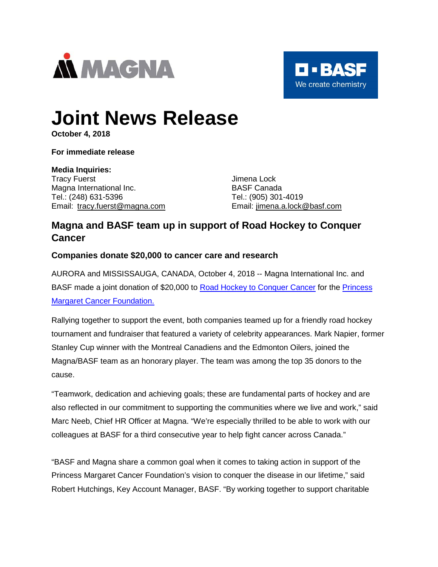



# **Joint News Release**

**October 4, 2018**

**For immediate release**

## **Media Inquiries:**

Tracy Fuerst **International Contract Contract Contract Contract Contract Contract Contract Contract Contract Contract Contract Contract Contract Contract Contract Contract Contract Contract Contract Contract Contract Contr** Magna International Inc. **BASF Canada** Tel.: (248) 631-5396 Tel.: (905) 301-4019 Email: [tracy.fuerst@magna.com](mailto:tracy.fuerst@magna.com) Email: [jimena.a.lock@basf.com](mailto:jimena.a.lock@basf.com)

## **Magna and BASF team up in support of Road Hockey to Conquer Cancer**

## **Companies donate \$20,000 to cancer care and research**

AURORA and MISSISSAUGA, CANADA, October 4, 2018 -- Magna International Inc. and BASF made a joint donation of \$20,000 to [Road Hockey to Conquer Cancer](http://www.teamuptoconquercancer.ca/) for the [Princess](http://www.thepmcf.ca/)  [Margaret Cancer Foundation.](http://www.thepmcf.ca/)

Rallying together to support the event, both companies teamed up for a friendly road hockey tournament and fundraiser that featured a variety of celebrity appearances. Mark Napier, former Stanley Cup winner with the Montreal Canadiens and the Edmonton Oilers, joined the Magna/BASF team as an honorary player. The team was among the top 35 donors to the cause.

"Teamwork, dedication and achieving goals; these are fundamental parts of hockey and are also reflected in our commitment to supporting the communities where we live and work," said Marc Neeb, Chief HR Officer at Magna. "We're especially thrilled to be able to work with our colleagues at BASF for a third consecutive year to help fight cancer across Canada."

"BASF and Magna share a common goal when it comes to taking action in support of the Princess Margaret Cancer Foundation's vision to conquer the disease in our lifetime," said Robert Hutchings, Key Account Manager, BASF. "By working together to support charitable